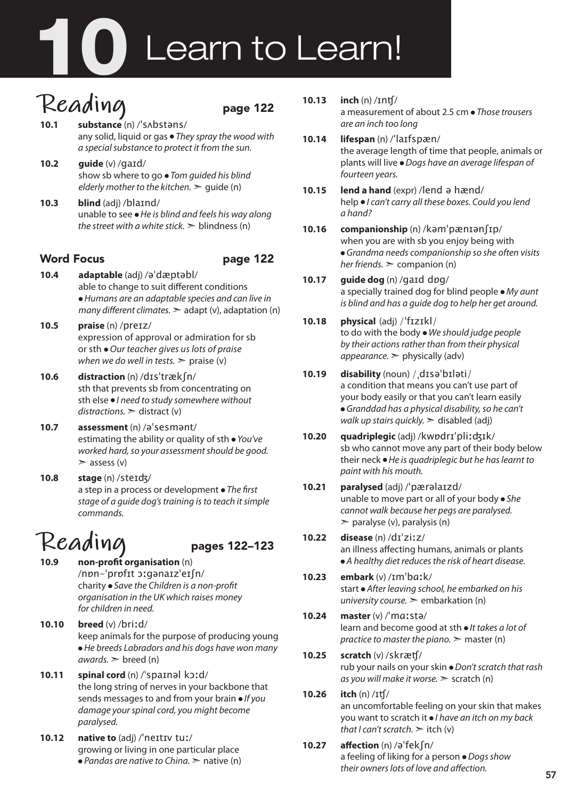# **1** Learn to Learn!

# Reading<br>10.1 substance (n) /'s Abstans/

- **10.1 substance** (n) /ˈsʌbstəns/ any solid, liquid or gas ● *They spray the wood with a special substance to protect it from the sun.*
- **10.2 guide** (v) /gaɪd/ show sb where to go ● *Tom guided his blind elderly mother to the kitchen.*  $\ge$  quide (n)
- **10.3 blind** (adj) /blaɪnd/ unable to see ● *He is blind and feels his way along the street with a white stick.*  $\geq$  blindness (n)

# Word Focus **page 122**

- **10.4 adaptable** (adj) /əˈdæptəbl/ able to change to suit different conditions ● *Humans are an adaptable species and can live in many different climates.*  $\geq$  adapt (v), adaptation (n)
- **10.5 praise** (n) /preɪz/ expression of approval or admiration for sb or sth ● *Our teacher gives us lots of praise when we do well in tests.*  $\ge$  praise (v)
- **10.6 distraction** (n) /dɪsˈtrækʃn/ sth that prevents sb from concentrating on sth else ● *I need to study somewhere without distractions.* ➣ distract (v)
- **10.7 assessment** (n) /əˈsesmənt/ estimating the ability or quality of sth ● *You've worked hard, so your assessment should be good.*  $\geq$  assess (v)
- **10.8 stage** (n) /steɪʤ/ a step in a process or development ● *The first stage of a guide dog's training is to teach it simple commands.*

# **Reading** pages 122–123

- **non-profit organisation** (n) /nɒn-ˈprɒfɪt ɔːgənaɪzˈeɪʃn/ charity ● *Save the Children is a non-profit organisation in the UK which raises money for children in need.*
- **10.10 breed** (v) /briːd/ keep animals for the purpose of producing young ● *He breeds Labradors and his dogs have won many*   $awards.$   $\geq$  breed (n)
- **10.11 spinal cord** (n) /ˈspaɪnəl kɔːd/ the long string of nerves in your backbone that sends messages to and from your brain ● *If you damage your spinal cord, you might become paralysed.*
- **10.12 native to** (adj) /ˈneɪtɪv tuː/ growing or living in one particular place ● *Pandas are native to China.* ➣ native (n)

### **10.13 inch** (n) /ɪnʧ/

a measurement of about 2.5 cm ● *Those trousers are an inch too long*

- **10.14 lifespan** (n) /ˈlaɪfspæn/ the average length of time that people, animals or plants will live ● *Dogs have an average lifespan of fourteen years.*
- **10.15 lend a hand** (expr) /lend ə hænd/ help ● *I can't carry all these boxes. Could you lend a hand?*
- **10.16 companionship** (n) /kəmˈpænɪənʃɪp/ when you are with sb you enjoy being with ● *Grandma needs companionship so she often visits her friends.* ➣ companion (n)
- **10.17 guide dog** (n) /gaɪd dɒg/ a specially trained dog for blind people ● *My aunt is blind and has a guide dog to help her get around.*

### **10.18 physical** (adj) /ˈfɪzɪkl/ to do with the body ● *We should judge people by their actions rather than from their physical*

- *appearance.* ➣ physically (adv) **10.19 disability** (noun) /ˌdɪsəˈbɪləti/ a condition that means you can't use part of your body easily or that you can't learn easily ● *Granddad has a physical disability, so he can't walk up stairs quickly.* ➣ disabled (adj)
- **10.20 quadriplegic** (adj) /kwɒdrɪˈpliːʤɪk/ sb who cannot move any part of their body below their neck ● *He is quadriplegic but he has learnt to paint with his mouth.*

### **10.21 paralysed** (adj) /ˈpærəlaɪzd/ unable to move part or all of your body ● *She cannot walk becau*s*e her pegs are paralysed.*  $\geq$  paralyse (v), paralysis (n)

- **10.22 disease** (n) /dɪˈziːz/ an illness affecting humans, animals or plants ● *A healthy diet reduces the risk of heart disease.*
- **10.23 embark** (v) /ɪmˈbɑːk/ start ● *After leaving school, he embarked on his university course.* ➣ embarkation (n)
- **10.24 master** (v) /ˈmɑːstə/ learn and become good at sth ● *It takes a lot of practice to master the piano.* ➣ master (n)
- **10.25 scratch** (v) /skræʧ/ rub your nails on your skin ● *Don't scratch that rash as you will make it worse.* ➣ scratch (n)
- **10.26 itch** (n) /ɪʧ/ an uncomfortable feeling on your skin that makes you want to scratch it ● *I have an itch on my back that I can't scratch.*  $\geq$  *itch (v)*
- **10.27 affection** (n) /əˈfekʃn/ a feeling of liking for a person ● *Dogs show their owners lots of love and affection.*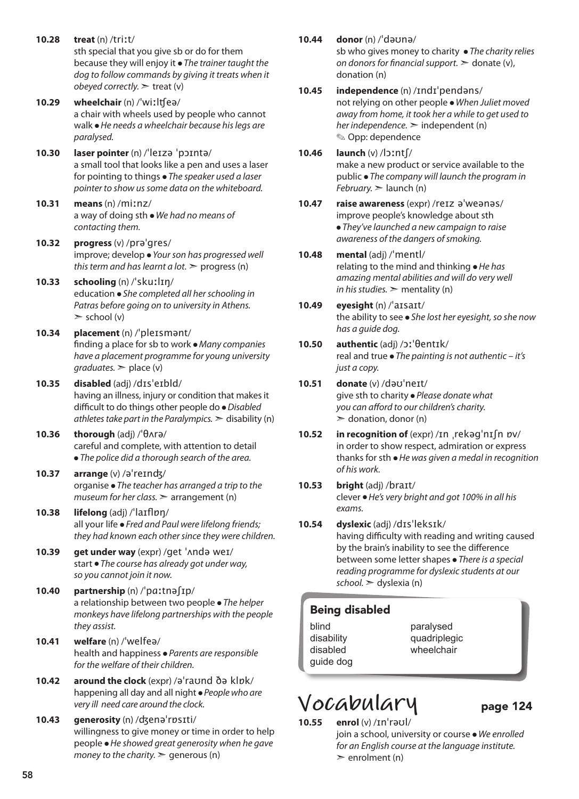- **10.28 treat** (n) /triːt/ sth special that you give sb or do for them because they will enjoy it ● *The trainer taught the dog to follow commands by giving it treats when it obeyed correctly.* ► treat (v)
- **10.29 wheelchair** (n) /ˈwiːlʧeə/ a chair with wheels used by people who cannot walk ● *He needs a wheelchair because his legs are paralysed.*
- **10.30 laser pointer** (n) /ˈleɪzə ˈpɔɪntə/ a small tool that looks like a pen and uses a laser for pointing to things ● *The speaker used a laser pointer to show us some data on the whiteboard.*
- **10.31 means** (n) /miːnz/ a way of doing sth ● *We had no means of contacting them.*
- **10.32 progress** (v) /prəˈgres/ improve; develop ● *Your son has progressed well this term and has learnt a lot.*  $\triangleright$  progress (n)
- **10.33 schooling** (n) /ˈskuːlɪŋ/ education ● *She completed all her schooling in Patras before going on to university in Athens.*   $\ge$  school (v)
- **10.34 placement** (n) /ˈpleɪsmənt/ finding a place for sb to work ● *Many companies have a placement programme for young university*   $graduates.$   $\geq$  place (v)
- **10.35 disabled** (adj) /dɪsˈeɪbld/ having an illness, injury or condition that makes it difficult to do things other people do ● *Disabled athletes take part in the Paralympics.*  $\geq$  disability (n)
- **10.36 thorough** (adj) /ˈθʌrə/ careful and complete, with attention to detail ● *The police did a thorough search of the area.*
- **10.37 arrange** (v) /əˈreɪnʤ/ organise ● *The teacher has arranged a trip to the museum for her class.* ➣ arrangement (n)
- **10.38 lifelong** (adj) /ˈlaɪflɒŋ/ all your life ● *Fred and Paul were lifelong friends; they had known each other since they were children.*
- **10.39 get under way** (expr) /get ˈʌndə weɪ/ start ● *The course has already got under way, so you cannot join it now.*
- **10.40 partnership** (n) /ˈpɑːtnəʃɪp/ a relationship between two people ● *The helper monkeys have lifelong partnerships with the people they assist.*
- **10.41 welfare** (n) /ˈwelfeə/ health and happiness ● *Parents are responsible for the welfare of their children.*
- **10.42 around the clock** (expr) /əˈraʊnd ðə klɒk/ happening all day and all night ● *People who are very ill need care around the clock.*
- **10.43 generosity** (n) /ʤenəˈrɒsɪti/ willingness to give money or time in order to help people ● *He showed great generosity when he gave money to the charity.*  $\ge$  generous (n)

**10.44 donor** (n) /ˈdəʊnə/

### sb who gives money to charity ● *The charity relies on donors for financial support.*  $\geq$  donate (v), donation (n)

- **10.45 independence** (n) /ɪndɪˈpendəns/ not relying on other people ● *When Juliet moved away from home, it took her a while to get used to her independence.* ➣ independent (n) ✎ Opp: dependence
- **10.46 launch** (v) /lɔːntʃ/ make a new product or service available to the public ● *The company will launch the program in February.* ➣ launch (n)
- **10.47 raise awareness** (expr) /reɪz əˈweənəs/ improve people's knowledge about sth ● *They've launched a new campaign to raise awareness of the dangers of smoking.*
- **10.48 mental** (adj) /ˈmentl/ relating to the mind and thinking ● *He has amazing mental abilities and will do very well in his studies.*  $\geq$  mentality (n)
- **10.49 eyesight** (n) /ˈaɪsaɪt/ the ability to see ● *She lost her eyesight, so she now has a guide dog.*
- **10.50 authentic** (adj) /ɔːˈθentɪk/ real and true ● *The painting is not authentic – it's just a copy.*
- **10.51 donate** (v) /dəʊˈneɪt/ give sth to charity ● *Please donate what you can afford to our children's charity.*   $\geq$  donation, donor (n)
- **10.52 in recognition of** (expr) /ɪn ˌrekəɡˈnɪʃn ɒv/ in order to show respect, admiration or express thanks for sth ● *He was given a medal in recognition of his work.*
- **10.53 bright** (adj) /braɪt/ clever ● *He's very bright and got 100% in all his exams.*
- **10.54 dyslexic** (adj) /dɪsˈleksɪk/ having difficulty with reading and writing caused by the brain's inability to see the difference between some letter shapes ● *There is a special reading programme for dyslexic students at our school.* ➣ dyslexia (n)

# Being disabled

- blind disability disabled guide dog
- paralysed quadriplegic wheelchair

# **Vocabulary** page 124

**10.55 enrol** (v) /ɪnˈrəʊl/

join a school, university or course ● *We enrolled for an English course at the language institute.*  $\ge$  enrolment (n)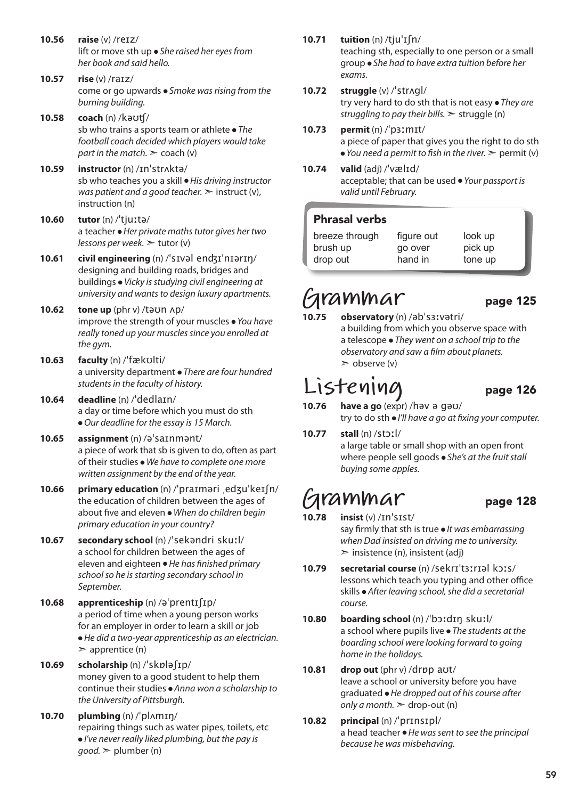- **10.56 raise** (v) /reɪz/ lift or move sth up ● *She raised her eyes from her book and said hello.*
- **10.57 rise** (v) /raɪz/ come or go upwards ● *Smoke was rising from the burning building.*
- **10.58 coach** (n) /kəʊʧ/ sb who trains a sports team or athlete ● *The football coach decided which players would take part in the match.*  $\geq$  coach (v)
- **10.59 instructor** (n) /ɪnˈstrʌktə/ sb who teaches you a skill ● *His driving instructor was patient and a good teacher.*  $\geq$  instruct (v), instruction (n)
- **10.60 tutor** (n) /ˈtjuːtə/ a teacher ● *Her private maths tutor gives her two lessons per week.* ➣ tutor (v)
- **10.61 civil engineering** (n) /ˈsɪvəl enʤɪˈnɪərɪŋ/ designing and building roads, bridges and buildings ● *Vicky is studying civil engineering at university and wants to design luxury apartments.*
- **10.62 tone up** (phr v) /təʊn ʌp/ improve the strength of your muscles ● *You have really toned up your muscles since you enrolled at the gym.*
- **10.63 faculty** (n) /ˈfækʊlti/ a university department ● *There are four hundred students in the faculty of history.*
- **10.64 deadline** (n) /ˈdedlaɪn/ a day or time before which you must do sth ● *Our deadline for the essay is 15 March.*
- **10.65 assignment** (n) /əˈsaɪnmənt/ a piece of work that sb is given to do, often as part of their studies ● *We have to complete one more written assignment by the end of the year.*
- **10.66 primary education** (n) /ˈpraɪməri ˌedʒuˈkeɪʃn/ the education of children between the ages of about five and eleven ● *When do children begin primary education in your country?*
- **10.67 secondary school** (n) /ˈsekəndri skuːl/ a school for children between the ages of eleven and eighteen ● *He has finished primary school so he is starting secondary school in September.*
- **10.68 apprenticeship** (n) /əˈprentɪʃɪp/ a period of time when a young person works for an employer in order to learn a skill or job ● *He did a two-year apprenticeship as an electrician.*   $\geq$  apprentice (n)
- **10.69 scholarship** (n) /ˈskɒləʃɪp/ money given to a good student to help them continue their studies ● *Anna won a scholarship to the University of Pittsburgh.*
- **10.70 plumbing** (n) /ˈplʌmɪŋ/ repairing things such as water pipes, toilets, etc ● *I've never really liked plumbing, but the pay is good.* ➣ plumber (n)

**10.71 tuition** (n) /tjuˈɪʃn/

teaching sth, especially to one person or a small group ● *She had to have extra tuition before her exams.*

### **10.72 struggle** (v) /ˈstrʌɡl/

try very hard to do sth that is not easy ● *They are struggling to pay their bills.* ➣ struggle (n)

- **10.73 permit** (n) /ˈpɜːmɪt/ a piece of paper that gives you the right to do sth ● *You need a permit to fish in the river.* ➣ permit (v)
- **10.74 valid** (adj) /ˈvælɪd/ acceptable; that can be used ● *Your passport is valid until February.*

### Phrasal verbs

| breeze through | figure out | look up |
|----------------|------------|---------|
| brush up       | go over    | pick up |
| drop out       | hand in    | tone up |

# **Grammar** page 125

**10.75 observatory** (n) /əbˈsɜːvətri/ a building from which you observe space with a telescope ● *They went on a school trip to the observatory and saw a film about planets.*  $\geq$  observe (v)

# **Listening** page 126

- **10.76 have a go** (expr) /həv ə ɡəʊ/ try to do sth ● *I'll have a go at fixing your computer.*
- **10.77 stall** (n) /stɔːl/ a large table or small shop with an open front where people sell goods ● *She's at the fruit stall buying some apples.*

# **Grammar** page 128

- **10.78 insist** (v) /ɪnˈsɪst/ say firmly that sth is true ● *It was embarrassing when Dad insisted on driving me to university.*  $\ge$  insistence (n), insistent (adj)
- **10.79 secretarial course** (n) /sekrɪˈtɜːrɪəl kɔːs/ lessons which teach you typing and other office skills ● *After leaving school, she did a secretarial course.*
- **10.80 boarding school** (n) /ˈbɔːdɪŋ skuːl/ a school where pupils live ● *The students at the boarding school were looking forward to going home in the holidays.*

### **10.81 drop out** (phr v) /drɒp aʊt/ leave a school or university before you have graduated ● *He dropped out of his course after only a month.*  $\geq$  drop-out (n)

### **10.82 principal** (n) /ˈprɪnsɪpl/ a head teacher ● *He was sent to see the principal because he was misbehaving.*